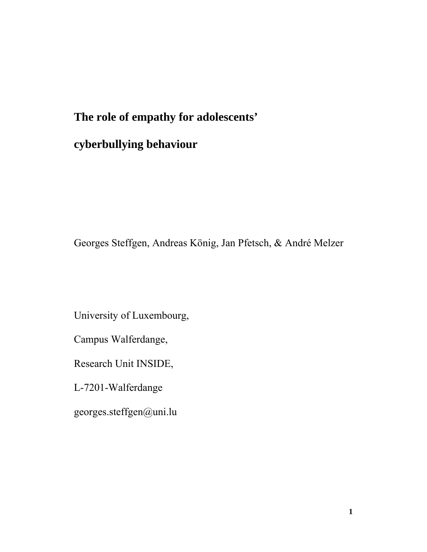# **The role of empathy for adolescents' cyberbullying behaviour**

Georges Steffgen, Andreas König, Jan Pfetsch, & André Melzer

University of Luxembourg,

Campus Walferdange,

Research Unit INSIDE,

L-7201-Walferdange

georges.steffgen@uni.lu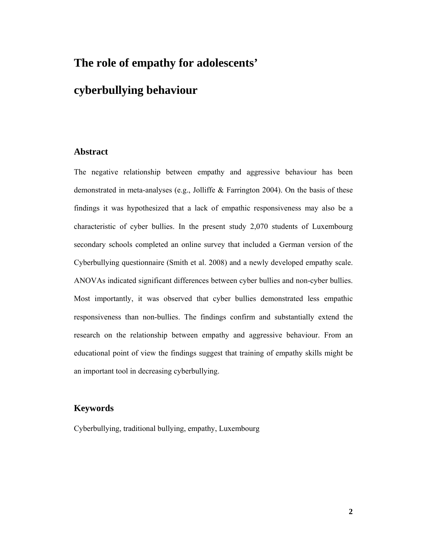# **The role of empathy for adolescents'**

# **cyberbullying behaviour**

#### **Abstract**

The negative relationship between empathy and aggressive behaviour has been demonstrated in meta-analyses (e.g., Jolliffe & Farrington 2004). On the basis of these findings it was hypothesized that a lack of empathic responsiveness may also be a characteristic of cyber bullies. In the present study 2,070 students of Luxembourg secondary schools completed an online survey that included a German version of the Cyberbullying questionnaire (Smith et al. 2008) and a newly developed empathy scale. ANOVAs indicated significant differences between cyber bullies and non-cyber bullies. Most importantly, it was observed that cyber bullies demonstrated less empathic responsiveness than non-bullies. The findings confirm and substantially extend the research on the relationship between empathy and aggressive behaviour. From an educational point of view the findings suggest that training of empathy skills might be an important tool in decreasing cyberbullying.

#### **Keywords**

Cyberbullying, traditional bullying, empathy, Luxembourg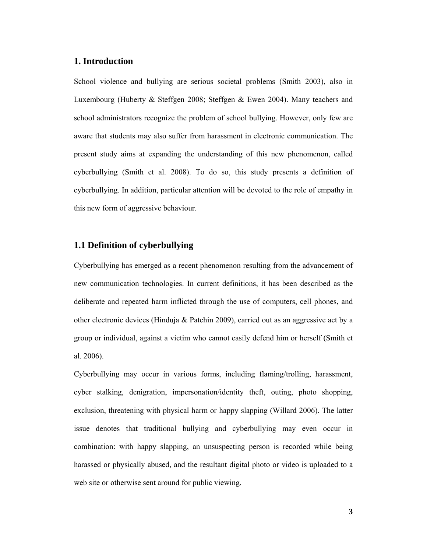## **1. Introduction**

School violence and bullying are serious societal problems (Smith 2003), also in Luxembourg (Huberty & Steffgen 2008; Steffgen & Ewen 2004). Many teachers and school administrators recognize the problem of school bullying. However, only few are aware that students may also suffer from harassment in electronic communication. The present study aims at expanding the understanding of this new phenomenon, called cyberbullying (Smith et al. 2008). To do so, this study presents a definition of cyberbullying. In addition, particular attention will be devoted to the role of empathy in this new form of aggressive behaviour.

## **1.1 Definition of cyberbullying**

Cyberbullying has emerged as a recent phenomenon resulting from the advancement of new communication technologies. In current definitions, it has been described as the deliberate and repeated harm inflicted through the use of computers, cell phones, and other electronic devices (Hinduja & Patchin 2009), carried out as an aggressive act by a group or individual, against a victim who cannot easily defend him or herself (Smith et al. 2006).

Cyberbullying may occur in various forms, including flaming/trolling, harassment, cyber stalking, denigration, impersonation/identity theft, outing, photo shopping, exclusion, threatening with physical harm or happy slapping (Willard 2006). The latter issue denotes that traditional bullying and cyberbullying may even occur in combination: with happy slapping, an unsuspecting person is recorded while being harassed or physically abused, and the resultant digital photo or video is uploaded to a web site or otherwise sent around for public viewing.

**3**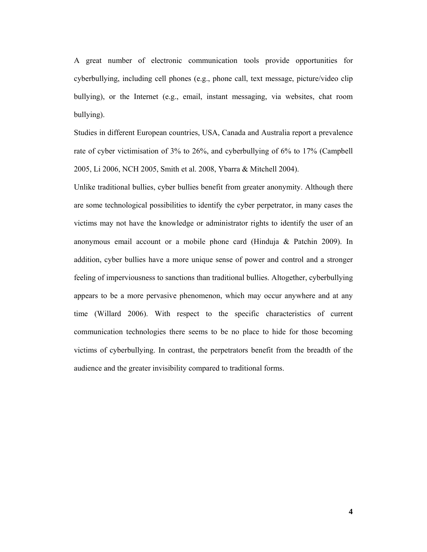A great number of electronic communication tools provide opportunities for cyberbullying, including cell phones (e.g., phone call, text message, picture/video clip bullying), or the Internet (e.g., email, instant messaging, via websites, chat room bullying).

Studies in different European countries, USA, Canada and Australia report a prevalence rate of cyber victimisation of 3% to 26%, and cyberbullying of 6% to 17% (Campbell 2005, Li 2006, NCH 2005, Smith et al. 2008, Ybarra & Mitchell 2004).

Unlike traditional bullies, cyber bullies benefit from greater anonymity. Although there are some technological possibilities to identify the cyber perpetrator, in many cases the victims may not have the knowledge or administrator rights to identify the user of an anonymous email account or a mobile phone card (Hinduja & Patchin 2009). In addition, cyber bullies have a more unique sense of power and control and a stronger feeling of imperviousness to sanctions than traditional bullies. Altogether, cyberbullying appears to be a more pervasive phenomenon, which may occur anywhere and at any time (Willard 2006). With respect to the specific characteristics of current communication technologies there seems to be no place to hide for those becoming victims of cyberbullying. In contrast, the perpetrators benefit from the breadth of the audience and the greater invisibility compared to traditional forms.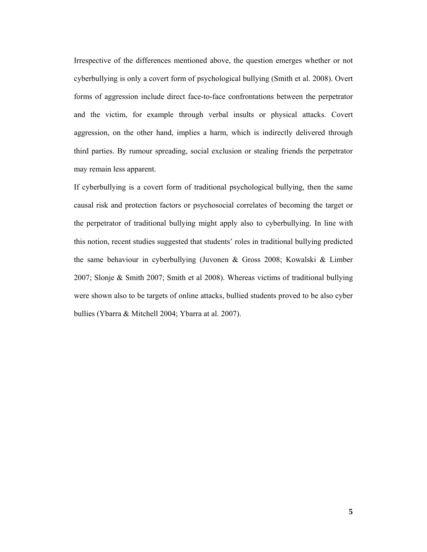Irrespective of the differences mentioned above, the question emerges whether or not cyberbullying is only a covert form of psychological bullying (Smith et al. 2008). Overt forms of aggression include direct face-to-face confrontations between the perpetrator and the victim, for example through verbal insults or physical attacks. Covert aggression, on the other hand, implies a harm, which is indirectly delivered through third parties. By rumour spreading, social exclusion or stealing friends the perpetrator may remain less apparent.

If cyberbullying is a covert form of traditional psychological bullying, then the same causal risk and protection factors or psychosocial correlates of becoming the target or the perpetrator of traditional bullying might apply also to cyberbullying. In line with this notion, recent studies suggested that students' roles in traditional bullying predicted the same behaviour in cyberbullying (Juvonen & Gross 2008; Kowalski & Limber 2007; Slonje & Smith 2007; Smith et al 2008). Whereas victims of traditional bullying were shown also to be targets of online attacks, bullied students proved to be also cyber bullies (Ybarra & Mitchell 2004; Ybarra at al. 2007).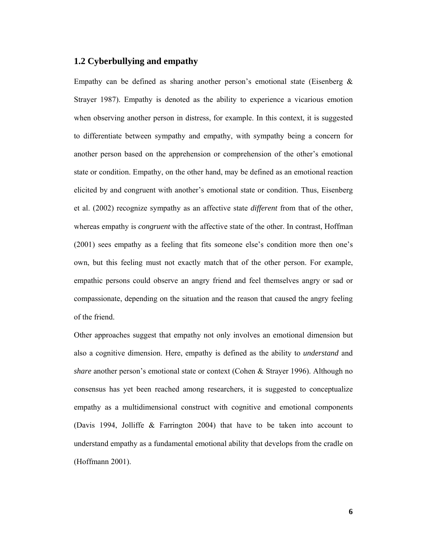## **1.2 Cyberbullying and empathy**

Empathy can be defined as sharing another person's emotional state (Eisenberg  $\&$ Strayer 1987). Empathy is denoted as the ability to experience a vicarious emotion when observing another person in distress, for example. In this context, it is suggested to differentiate between sympathy and empathy, with sympathy being a concern for another person based on the apprehension or comprehension of the other's emotional state or condition. Empathy, on the other hand, may be defined as an emotional reaction elicited by and congruent with another's emotional state or condition. Thus, Eisenberg et al. (2002) recognize sympathy as an affective state *different* from that of the other, whereas empathy is *congruent* with the affective state of the other. In contrast, Hoffman (2001) sees empathy as a feeling that fits someone else's condition more then one's own, but this feeling must not exactly match that of the other person. For example, empathic persons could observe an angry friend and feel themselves angry or sad or compassionate, depending on the situation and the reason that caused the angry feeling of the friend.

Other approaches suggest that empathy not only involves an emotional dimension but also a cognitive dimension. Here, empathy is defined as the ability to *understand* and *share* another person's emotional state or context (Cohen & Strayer 1996). Although no consensus has yet been reached among researchers, it is suggested to conceptualize empathy as a multidimensional construct with cognitive and emotional components (Davis 1994, Jolliffe & Farrington 2004) that have to be taken into account to understand empathy as a fundamental emotional ability that develops from the cradle on (Hoffmann 2001).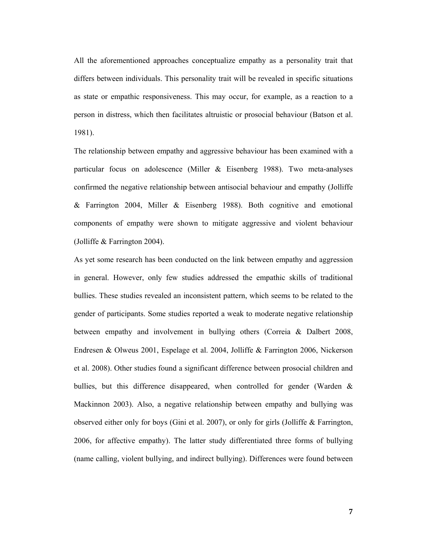All the aforementioned approaches conceptualize empathy as a personality trait that differs between individuals. This personality trait will be revealed in specific situations as state or empathic responsiveness. This may occur, for example, as a reaction to a person in distress, which then facilitates altruistic or prosocial behaviour (Batson et al. 1981).

The relationship between empathy and aggressive behaviour has been examined with a particular focus on adolescence (Miller & Eisenberg 1988). Two meta-analyses confirmed the negative relationship between antisocial behaviour and empathy (Jolliffe & Farrington 2004, Miller & Eisenberg 1988). Both cognitive and emotional components of empathy were shown to mitigate aggressive and violent behaviour (Jolliffe & Farrington 2004).

As yet some research has been conducted on the link between empathy and aggression in general. However, only few studies addressed the empathic skills of traditional bullies. These studies revealed an inconsistent pattern, which seems to be related to the gender of participants. Some studies reported a weak to moderate negative relationship between empathy and involvement in bullying others (Correia & Dalbert 2008, Endresen & Olweus 2001, Espelage et al. 2004, Jolliffe & Farrington 2006, Nickerson et al. 2008). Other studies found a significant difference between prosocial children and bullies, but this difference disappeared, when controlled for gender (Warden & Mackinnon 2003). Also, a negative relationship between empathy and bullying was observed either only for boys (Gini et al. 2007), or only for girls (Jolliffe & Farrington, 2006, for affective empathy). The latter study differentiated three forms of bullying (name calling, violent bullying, and indirect bullying). Differences were found between

**7**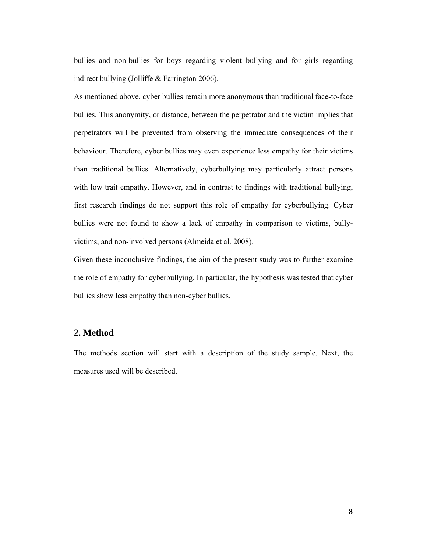bullies and non-bullies for boys regarding violent bullying and for girls regarding indirect bullying (Jolliffe & Farrington 2006).

As mentioned above, cyber bullies remain more anonymous than traditional face-to-face bullies. This anonymity, or distance, between the perpetrator and the victim implies that perpetrators will be prevented from observing the immediate consequences of their behaviour. Therefore, cyber bullies may even experience less empathy for their victims than traditional bullies. Alternatively, cyberbullying may particularly attract persons with low trait empathy. However, and in contrast to findings with traditional bullying, first research findings do not support this role of empathy for cyberbullying. Cyber bullies were not found to show a lack of empathy in comparison to victims, bullyvictims, and non-involved persons (Almeida et al. 2008).

Given these inconclusive findings, the aim of the present study was to further examine the role of empathy for cyberbullying. In particular, the hypothesis was tested that cyber bullies show less empathy than non-cyber bullies.

#### **2. Method**

The methods section will start with a description of the study sample. Next, the measures used will be described.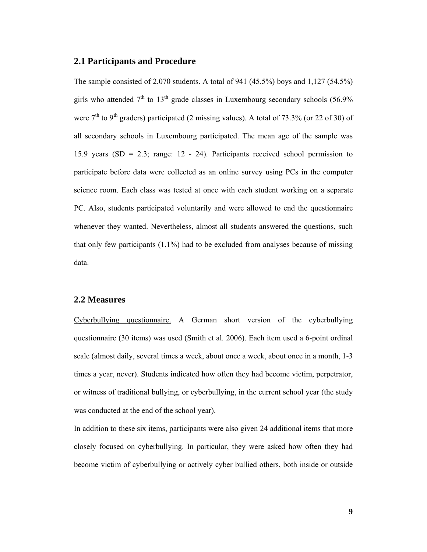#### **2.1 Participants and Procedure**

The sample consisted of 2,070 students. A total of 941 (45.5%) boys and 1,127 (54.5%) girls who attended  $7<sup>th</sup>$  to  $13<sup>th</sup>$  grade classes in Luxembourg secondary schools (56.9%) were  $7<sup>th</sup>$  to 9<sup>th</sup> graders) participated (2 missing values). A total of 73.3% (or 22 of 30) of all secondary schools in Luxembourg participated. The mean age of the sample was 15.9 years (SD = 2.3; range: 12 - 24). Participants received school permission to participate before data were collected as an online survey using PCs in the computer science room. Each class was tested at once with each student working on a separate PC. Also, students participated voluntarily and were allowed to end the questionnaire whenever they wanted. Nevertheless, almost all students answered the questions, such that only few participants (1.1%) had to be excluded from analyses because of missing data.

#### **2.2 Measures**

Cyberbullying questionnaire. A German short version of the cyberbullying questionnaire (30 items) was used (Smith et al. 2006). Each item used a 6-point ordinal scale (almost daily, several times a week, about once a week, about once in a month, 1-3 times a year, never). Students indicated how often they had become victim, perpetrator, or witness of traditional bullying, or cyberbullying, in the current school year (the study was conducted at the end of the school year).

In addition to these six items, participants were also given 24 additional items that more closely focused on cyberbullying. In particular, they were asked how often they had become victim of cyberbullying or actively cyber bullied others, both inside or outside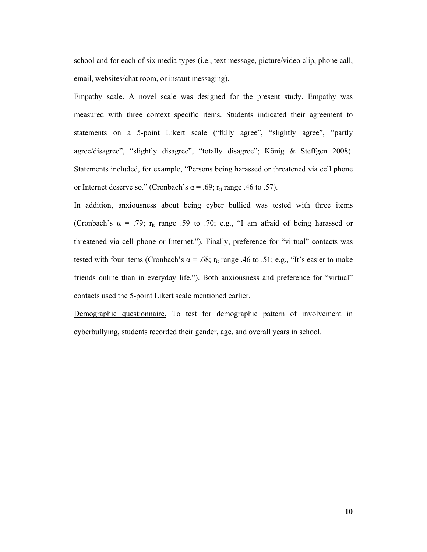school and for each of six media types (i.e., text message, picture/video clip, phone call, email, websites/chat room, or instant messaging).

Empathy scale. A novel scale was designed for the present study. Empathy was measured with three context specific items. Students indicated their agreement to statements on a 5-point Likert scale ("fully agree", "slightly agree", "partly agree/disagree", "slightly disagree", "totally disagree"; König & Steffgen 2008). Statements included, for example, "Persons being harassed or threatened via cell phone or Internet deserve so." (Cronbach's  $\alpha$  = .69; r<sub>it</sub> range .46 to .57).

In addition, anxiousness about being cyber bullied was tested with three items (Cronbach's  $\alpha$  = .79;  $r_{it}$  range .59 to .70; e.g., "I am afraid of being harassed or threatened via cell phone or Internet."). Finally, preference for "virtual" contacts was tested with four items (Cronbach's  $\alpha$  = .68; r<sub>it</sub> range .46 to .51; e.g., "It's easier to make friends online than in everyday life."). Both anxiousness and preference for "virtual" contacts used the 5-point Likert scale mentioned earlier.

Demographic questionnaire. To test for demographic pattern of involvement in cyberbullying, students recorded their gender, age, and overall years in school.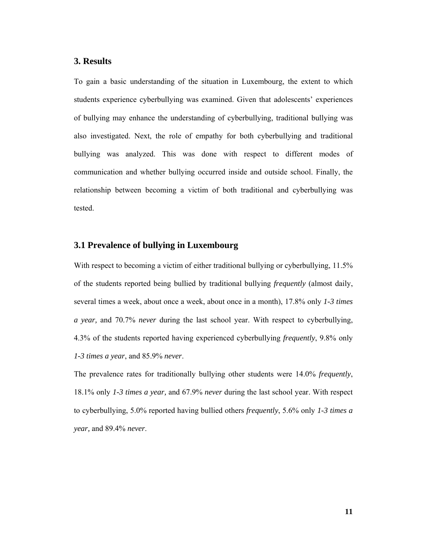#### **3. Results**

To gain a basic understanding of the situation in Luxembourg, the extent to which students experience cyberbullying was examined. Given that adolescents' experiences of bullying may enhance the understanding of cyberbullying, traditional bullying was also investigated. Next, the role of empathy for both cyberbullying and traditional bullying was analyzed. This was done with respect to different modes of communication and whether bullying occurred inside and outside school. Finally, the relationship between becoming a victim of both traditional and cyberbullying was tested.

#### **3.1 Prevalence of bullying in Luxembourg**

With respect to becoming a victim of either traditional bullying or cyberbullying, 11.5% of the students reported being bullied by traditional bullying *frequently* (almost daily, several times a week, about once a week, about once in a month), 17.8% only *1-3 times a year,* and 70.7% *never* during the last school year. With respect to cyberbullying, 4.3% of the students reported having experienced cyberbullying *frequently*, 9.8% only *1-3 times a year*, and 85.9% *never*.

The prevalence rates for traditionally bullying other students were 14.0% *frequently*, 18.1% only *1-3 times a year,* and 67.9% *never* during the last school year. With respect to cyberbullying, 5.0% reported having bullied others *frequently*, 5.6% only *1-3 times a year,* and 89.4% *never*.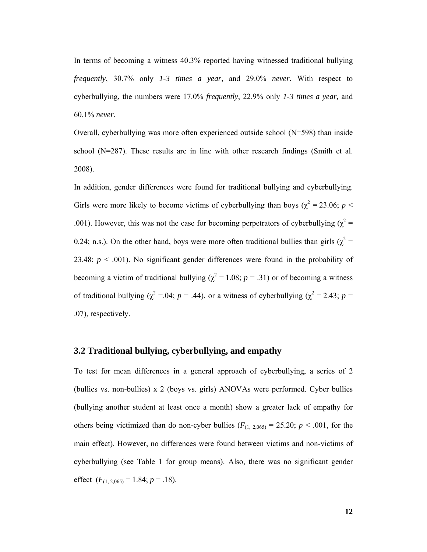In terms of becoming a witness 40.3% reported having witnessed traditional bullying *frequently*, 30.7% only *1-3 times a year,* and 29.0% *never*. With respect to cyberbullying, the numbers were 17.0% *frequently*, 22.9% only *1-3 times a year,* and 60.1% *never*.

Overall, cyberbullying was more often experienced outside school (N=598) than inside school  $(N=287)$ . These results are in line with other research findings (Smith et al. 2008).

In addition, gender differences were found for traditional bullying and cyberbullying. Girls were more likely to become victims of cyberbullying than boys ( $\chi^2$  = 23.06; *p* < .001). However, this was not the case for becoming perpetrators of cyberbullying ( $\chi^2$  = 0.24; n.s.). On the other hand, boys were more often traditional bullies than girls ( $\chi^2$  = 23.48;  $p < .001$ ). No significant gender differences were found in the probability of becoming a victim of traditional bullying ( $\chi^2 = 1.08$ ; *p* = .31) or of becoming a witness of traditional bullying ( $\chi^2$  =.04; *p* = .44), or a witness of cyberbullying ( $\chi^2$  = 2.43; *p* = .07), respectively.

#### **3.2 Traditional bullying, cyberbullying, and empathy**

To test for mean differences in a general approach of cyberbullying, a series of 2 (bullies vs. non-bullies) x 2 (boys vs. girls) ANOVAs were performed. Cyber bullies (bullying another student at least once a month) show a greater lack of empathy for others being victimized than do non-cyber bullies  $(F_{(1, 2,065)} = 25.20; p < .001$ , for the main effect). However, no differences were found between victims and non-victims of cyberbullying (see Table 1 for group means). Also, there was no significant gender effect  $(F_{(1, 2, 0.65)} = 1.84; p = .18)$ .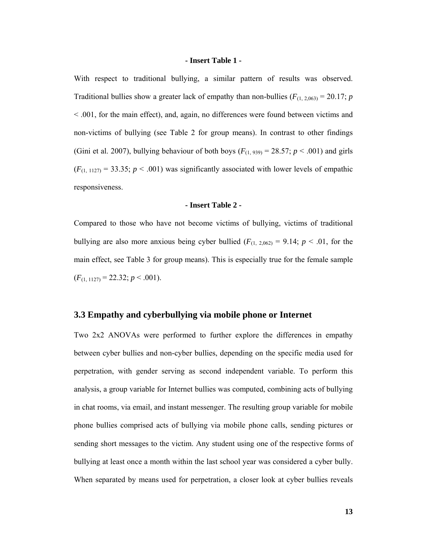#### **- Insert Table 1 -**

With respect to traditional bullying, a similar pattern of results was observed. Traditional bullies show a greater lack of empathy than non-bullies  $(F_{(1, 2, 063)} = 20.17; p$ < .001, for the main effect), and, again, no differences were found between victims and non-victims of bullying (see Table 2 for group means). In contrast to other findings (Gini et al. 2007), bullying behaviour of both boys  $(F_{(1, 939)} = 28.57; p < .001)$  and girls  $(F_{(1, 1127)} = 33.35; p < .001)$  was significantly associated with lower levels of empathic responsiveness.

#### **- Insert Table 2 -**

Compared to those who have not become victims of bullying, victims of traditional bullying are also more anxious being cyber bullied  $(F_{(1, 2,062)} = 9.14; p < .01$ , for the main effect, see Table 3 for group means). This is especially true for the female sample  $(F_{(1, 1127)} = 22.32; p < .001).$ 

#### **3.3 Empathy and cyberbullying via mobile phone or Internet**

Two 2x2 ANOVAs were performed to further explore the differences in empathy between cyber bullies and non-cyber bullies, depending on the specific media used for perpetration, with gender serving as second independent variable. To perform this analysis, a group variable for Internet bullies was computed, combining acts of bullying in chat rooms, via email, and instant messenger. The resulting group variable for mobile phone bullies comprised acts of bullying via mobile phone calls, sending pictures or sending short messages to the victim. Any student using one of the respective forms of bullying at least once a month within the last school year was considered a cyber bully. When separated by means used for perpetration, a closer look at cyber bullies reveals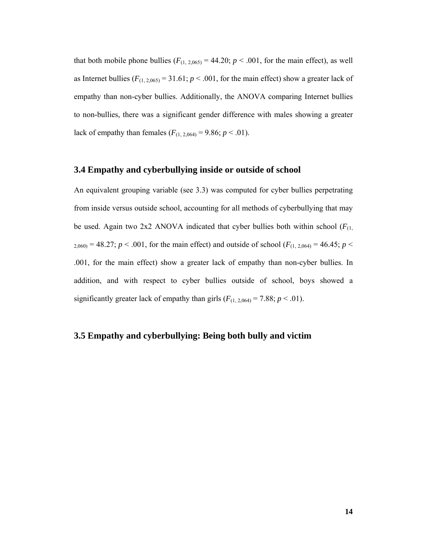that both mobile phone bullies  $(F_{(1, 2,065)} = 44.20; p < .001$ , for the main effect), as well as Internet bullies  $(F_{(1, 2, 065)} = 31.61; p < .001$ , for the main effect) show a greater lack of empathy than non-cyber bullies. Additionally, the ANOVA comparing Internet bullies to non-bullies, there was a significant gender difference with males showing a greater lack of empathy than females  $(F_{(1, 2, 064)} = 9.86; p < .01)$ .

#### **3.4 Empathy and cyberbullying inside or outside of school**

An equivalent grouping variable (see 3.3) was computed for cyber bullies perpetrating from inside versus outside school, accounting for all methods of cyberbullying that may be used. Again two 2x2 ANOVA indicated that cyber bullies both within school  $(F_{(1)})$  $_{2,060)}$  = 48.27; *p* < .001, for the main effect) and outside of school ( $F_{(1, 2,064)}$  = 46.45; *p* < .001, for the main effect) show a greater lack of empathy than non-cyber bullies. In addition, and with respect to cyber bullies outside of school, boys showed a significantly greater lack of empathy than girls  $(F_{(1, 2,064)} = 7.88; p < .01)$ .

## **3.5 Empathy and cyberbullying: Being both bully and victim**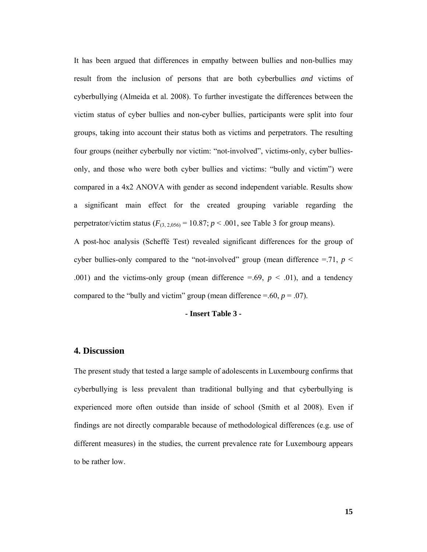It has been argued that differences in empathy between bullies and non-bullies may result from the inclusion of persons that are both cyberbullies *and* victims of cyberbullying (Almeida et al. 2008). To further investigate the differences between the victim status of cyber bullies and non-cyber bullies, participants were split into four groups, taking into account their status both as victims and perpetrators. The resulting four groups (neither cyberbully nor victim: "not-involved", victims-only, cyber bulliesonly, and those who were both cyber bullies and victims: "bully and victim") were compared in a 4x2 ANOVA with gender as second independent variable. Results show a significant main effect for the created grouping variable regarding the perpetrator/victim status  $(F_{(3, 2, 0.056)} = 10.87; p < .001$ , see Table 3 for group means).

A post-hoc analysis (Scheffé Test) revealed significant differences for the group of cyber bullies-only compared to the "not-involved" group (mean difference  $=$  71,  $p$  < .001) and the victims-only group (mean difference  $=$  69,  $p < .01$ ), and a tendency compared to the "bully and victim" group (mean difference  $=$  - 60,  $p = .07$ ).

#### **- Insert Table 3 -**

#### **4. Discussion**

The present study that tested a large sample of adolescents in Luxembourg confirms that cyberbullying is less prevalent than traditional bullying and that cyberbullying is experienced more often outside than inside of school (Smith et al 2008). Even if findings are not directly comparable because of methodological differences (e.g. use of different measures) in the studies, the current prevalence rate for Luxembourg appears to be rather low.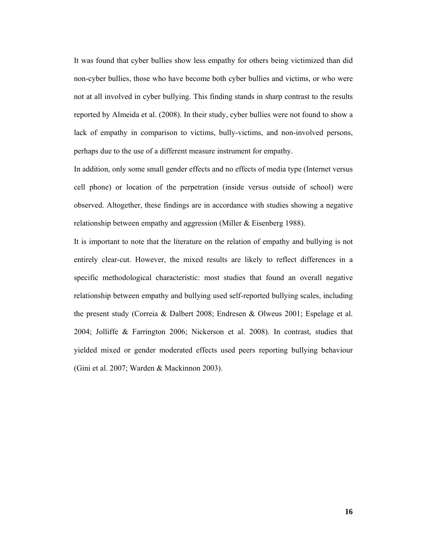It was found that cyber bullies show less empathy for others being victimized than did non-cyber bullies, those who have become both cyber bullies and victims, or who were not at all involved in cyber bullying. This finding stands in sharp contrast to the results reported by Almeida et al. (2008). In their study, cyber bullies were not found to show a lack of empathy in comparison to victims, bully-victims, and non-involved persons, perhaps due to the use of a different measure instrument for empathy.

In addition, only some small gender effects and no effects of media type (Internet versus cell phone) or location of the perpetration (inside versus outside of school) were observed. Altogether, these findings are in accordance with studies showing a negative relationship between empathy and aggression (Miller & Eisenberg 1988).

It is important to note that the literature on the relation of empathy and bullying is not entirely clear-cut. However, the mixed results are likely to reflect differences in a specific methodological characteristic: most studies that found an overall negative relationship between empathy and bullying used self-reported bullying scales, including the present study (Correia & Dalbert 2008; Endresen & Olweus 2001; Espelage et al. 2004; Jolliffe & Farrington 2006; Nickerson et al. 2008). In contrast, studies that yielded mixed or gender moderated effects used peers reporting bullying behaviour (Gini et al. 2007; Warden & Mackinnon 2003).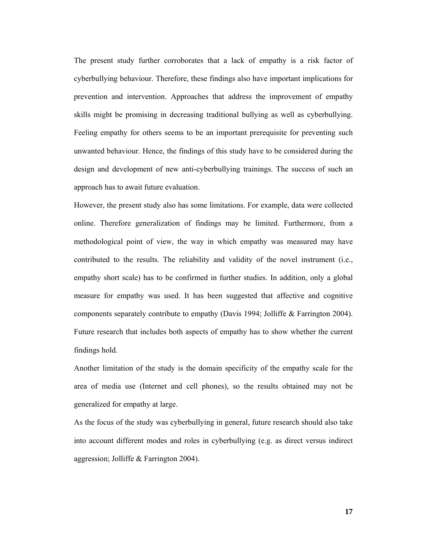The present study further corroborates that a lack of empathy is a risk factor of cyberbullying behaviour. Therefore, these findings also have important implications for prevention and intervention. Approaches that address the improvement of empathy skills might be promising in decreasing traditional bullying as well as cyberbullying. Feeling empathy for others seems to be an important prerequisite for preventing such unwanted behaviour. Hence, the findings of this study have to be considered during the design and development of new anti-cyberbullying trainings. The success of such an approach has to await future evaluation.

However, the present study also has some limitations. For example, data were collected online. Therefore generalization of findings may be limited. Furthermore, from a methodological point of view, the way in which empathy was measured may have contributed to the results. The reliability and validity of the novel instrument (i.e., empathy short scale) has to be confirmed in further studies. In addition, only a global measure for empathy was used. It has been suggested that affective and cognitive components separately contribute to empathy (Davis 1994; Jolliffe & Farrington 2004). Future research that includes both aspects of empathy has to show whether the current findings hold.

Another limitation of the study is the domain specificity of the empathy scale for the area of media use (Internet and cell phones), so the results obtained may not be generalized for empathy at large.

As the focus of the study was cyberbullying in general, future research should also take into account different modes and roles in cyberbullying (e.g. as direct versus indirect aggression; Jolliffe & Farrington 2004).

**17**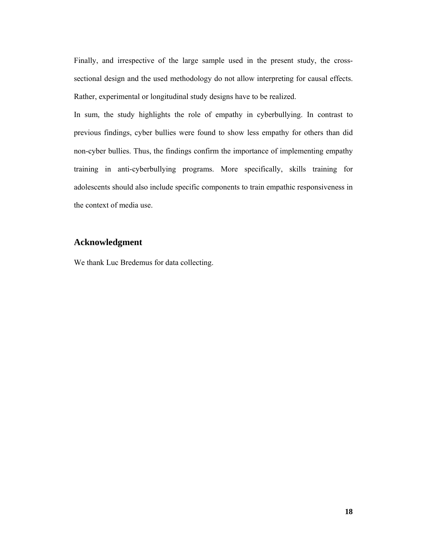Finally, and irrespective of the large sample used in the present study, the crosssectional design and the used methodology do not allow interpreting for causal effects. Rather, experimental or longitudinal study designs have to be realized.

In sum, the study highlights the role of empathy in cyberbullying. In contrast to previous findings, cyber bullies were found to show less empathy for others than did non-cyber bullies. Thus, the findings confirm the importance of implementing empathy training in anti-cyberbullying programs. More specifically, skills training for adolescents should also include specific components to train empathic responsiveness in the context of media use.

## **Acknowledgment**

We thank Luc Bredemus for data collecting.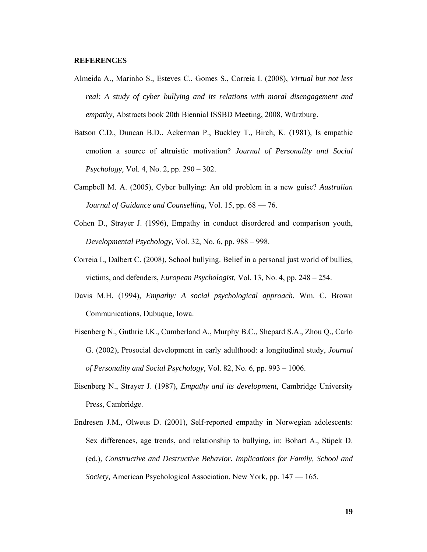#### **REFERENCES**

- Almeida A., Marinho S., Esteves C., Gomes S., Correia I. (2008), *Virtual but not less real: A study of cyber bullying and its relations with moral disengagement and empathy,* Abstracts book 20th Biennial ISSBD Meeting, 2008, Würzburg.
- Batson C.D., Duncan B.D., Ackerman P., Buckley T., Birch, K. (1981), Is empathic emotion a source of altruistic motivation? *Journal of Personality and Social Psychology,* Vol. 4, No. 2, pp. 290 – 302.
- Campbell M. A. (2005), Cyber bullying: An old problem in a new guise? *Australian Journal of Guidance and Counselling,* Vol. 15, pp. 68 — 76.
- Cohen D., Strayer J. (1996), Empathy in conduct disordered and comparison youth, *Developmental Psychology,* Vol. 32, No. 6, pp. 988 – 998.
- Correia I., Dalbert C. (2008), School bullying. Belief in a personal just world of bullies, victims, and defenders, *European Psychologist,* Vol. 13, No. 4, pp. 248 – 254.
- Davis M.H. (1994), *Empathy: A social psychological approach*. Wm. C. Brown Communications, Dubuque, Iowa.
- Eisenberg N., Guthrie I.K., Cumberland A., Murphy B.C., Shepard S.A., Zhou Q., Carlo G. (2002), Prosocial development in early adulthood: a longitudinal study, *Journal of Personality and Social Psychology,* Vol. 82, No. 6, pp. 993 – 1006.
- Eisenberg N., Strayer J. (1987), *Empathy and its development,* Cambridge University Press, Cambridge.
- Endresen J.M., Olweus D. (2001), Self-reported empathy in Norwegian adolescents: Sex differences, age trends, and relationship to bullying, in: Bohart A., Stipek D. (ed.), *Constructive and Destructive Behavior. Implications for Family, School and Society,* American Psychological Association, New York, pp. 147 — 165.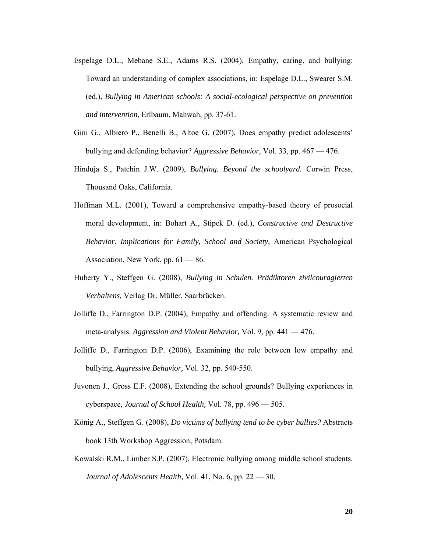- Espelage D.L., Mebane S.E., Adams R.S. (2004), Empathy, caring, and bullying: Toward an understanding of complex associations, in: Espelage D.L., Swearer S.M. (ed.), *Bullying in American schools: A social-ecological perspective on prevention and intervention*, Erlbaum, Mahwah, pp. 37-61.
- Gini G., Albiero P., Benelli B., Altoe G. (2007), Does empathy predict adolescents' bullying and defending behavior? *Aggressive Behavior,* Vol. 33, pp. 467 — 476.
- Hinduja S., Patchin J.W. (2009), *Bullying. Beyond the schoolyard.* Corwin Press, Thousand Oaks, California.
- Hoffman M.L. (2001), Toward a comprehensive empathy-based theory of prosocial moral development, in: Bohart A., Stipek D. (ed.), *Constructive and Destructive Behavior. Implications for Family, School and Society*, American Psychological Association, New York, pp. 61 — 86.
- Huberty Y., Steffgen G. (2008), *Bullying in Schulen. Prädiktoren zivilcouragierten Verhaltens,* Verlag Dr. Müller, Saarbrücken.
- Jolliffe D., Farrington D.P. (2004), Empathy and offending. A systematic review and meta-analysis. *Aggression and Violent Behavior,* Vol. 9, pp. 441 — 476.
- Jolliffe D., Farrington D.P. (2006), Examining the role between low empathy and bullying, *Aggressive Behavior,* Vol. 32, pp. 540-550.
- Juvonen J., Gross E.F. (2008), Extending the school grounds? Bullying experiences in cyberspace, *Journal of School Health,* Vol. 78, pp. 496 — 505.
- König A., Steffgen G. (2008), *Do victims of bullying tend to be cyber bullies?* Abstracts book 13th Workshop Aggression, Potsdam.
- Kowalski R.M., Limber S.P. (2007), Electronic bullying among middle school students. *Journal of Adolescents Health,* Vol. 41, No. 6, pp. 22 — 30.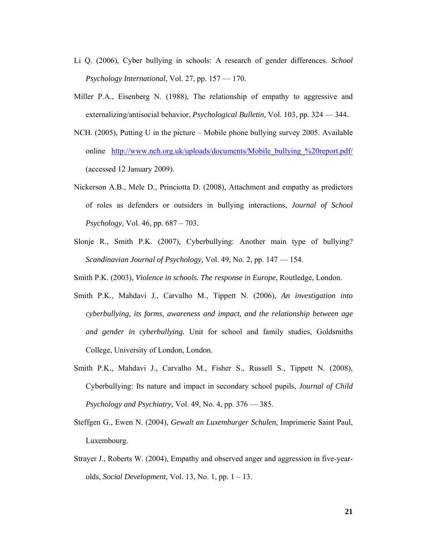- Li Q. (2006), Cyber bullying in schools: A research of gender differences. *School Psychology International*, Vol. 27, pp. 157 — 170.
- Miller P.A., Eisenberg N. (1988), The relationship of empathy to aggressive and externalizing/antisocial behavior, *Psychological Bulletin,* Vol. 103, pp. 324 — 344.
- NCH. (2005), Putting U in the picture Mobile phone bullying survey 2005. Available online http://www.nch.org.uk/uploads/documents/Mobile\_bullying\_%20report.pdf/ (accessed 12 January 2009).
- Nickerson A.B., Mele D., Princiotta D. (2008), Attachment and empathy as predictors of roles as defenders or outsiders in bullying interactions, *Journal of School Psychology,* Vol. 46, pp. 687 – 703.
- Slonje R., Smith P.K. (2007), Cyberbullying: Another main type of bullying? *Scandinavian Journal of Psychology,* Vol. 49, No. 2, pp. 147 — 154.
- Smith P.K. (2003), *Violence in schools. The response in Europe*, Routledge, London.
- Smith P.K., Mahdavi J., Carvalho M., Tippett N. (2006), *An investigation into cyberbullying, its forms, awareness and impact, and the relationship between age and gender in cyberbullying.* Unit for school and family studies, Goldsmiths College, University of London, London.
- Smith P.K., Mahdavi J., Carvalho M., Fisher S., Russell S., Tippett N. (2008), Cyberbullying: Its nature and impact in secondary school pupils, *Journal of Child Psychology and Psychiatry,* Vol. 49, No. 4, pp. 376 — 385.
- Steffgen G., Ewen N. (2004), *Gewalt an Luxemburger Schulen,* Imprimerie Saint Paul, Luxembourg.
- Strayer J., Roberts W. (2004), Empathy and observed anger and aggression in five-yearolds, *Social Development,* Vol. 13, No. 1, pp. 1 – 13.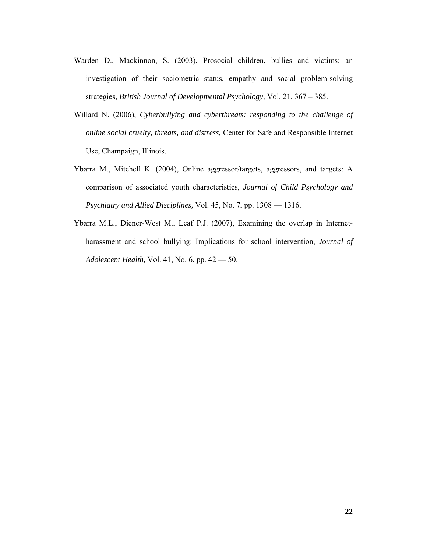- Warden D., Mackinnon, S. (2003), Prosocial children, bullies and victims: an investigation of their sociometric status, empathy and social problem-solving strategies, *British Journal of Developmental Psychology,* Vol. 21, 367 – 385.
- Willard N. (2006), *Cyberbullying and cyberthreats: responding to the challenge of online social cruelty, threats, and distress,* Center for Safe and Responsible Internet Use, Champaign, Illinois.
- Ybarra M., Mitchell K. (2004), Online aggressor/targets, aggressors, and targets: A comparison of associated youth characteristics, *Journal of Child Psychology and Psychiatry and Allied Disciplines,* Vol. 45, No. 7, pp. 1308 — 1316.
- Ybarra M.L., Diener-West M., Leaf P.J. (2007), Examining the overlap in Internetharassment and school bullying: Implications for school intervention, *Journal of Adolescent Health,* Vol. 41, No. 6, pp. 42 — 50.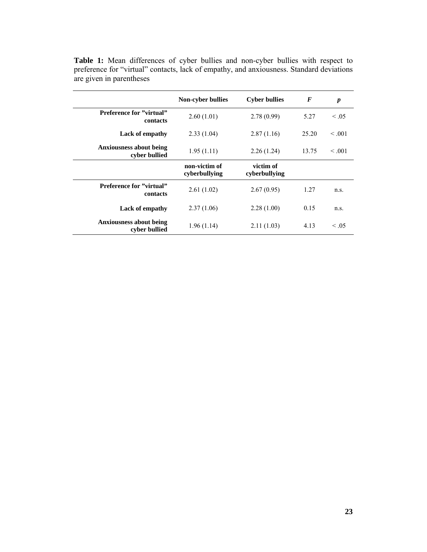|                                                 | <b>Non-cyber bullies</b>       | <b>Cyber bullies</b>       | $\bm{F}$ | $\boldsymbol{p}$ |
|-------------------------------------------------|--------------------------------|----------------------------|----------|------------------|
| <b>Preference for "virtual"</b><br>contacts     | 2.60(1.01)                     | 2.78(0.99)                 | 5.27     | $\leq .05$       |
| <b>Lack of empathy</b>                          | 2.33(1.04)                     | 2.87(1.16)                 | 25.20    | $\leq 0.01$      |
| <b>Anxiousness about being</b><br>cyber bullied | 1.95(1.11)<br>2.26(1.24)       |                            | 13.75    | $\leq 0.01$      |
|                                                 | non-victim of<br>cyberbullying | victim of<br>cyberbullying |          |                  |
| Preference for "virtual"<br>contacts            | 2.61(1.02)                     | 2.67(0.95)                 | 1.27     | n.s.             |
| <b>Lack of empathy</b>                          | 2.37(1.06)                     | 2.28(1.00)                 | 0.15     | n.s.             |
| <b>Anxiousness about being</b><br>cyber bullied | 1.96(1.14)                     | 2.11(1.03)                 | 4.13     | $\leq 0.05$      |

**Table 1:** Mean differences of cyber bullies and non-cyber bullies with respect to preference for "virtual" contacts, lack of empathy, and anxiousness. Standard deviations are given in parentheses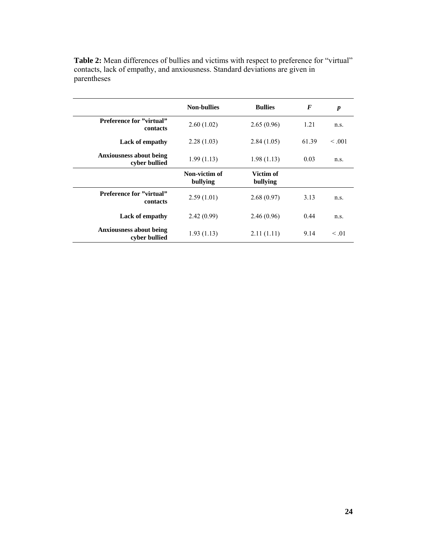|                                                 | <b>Non-bullies</b>        | <b>Bullies</b>        | F     | $\boldsymbol{p}$ |
|-------------------------------------------------|---------------------------|-----------------------|-------|------------------|
| <b>Preference for "virtual"</b><br>contacts     | 2.60(1.02)                | 2.65(0.96)            | 1.21  | n.s.             |
| <b>Lack of empathy</b>                          | 2.28(1.03)                | 2.84(1.05)            | 61.39 | $\leq 0.01$      |
| <b>Anxiousness about being</b><br>cyber bullied | 1.99(1.13)                | 1.98(1.13)            | 0.03  | n.s.             |
|                                                 | Non-victim of<br>bullying | Victim of<br>bullying |       |                  |
| <b>Preference for "virtual"</b><br>contacts     | 2.59(1.01)                | 2.68(0.97)            | 3.13  | n.s.             |
| <b>Lack of empathy</b>                          | 2.42(0.99)                | 2.46(0.96)            | 0.44  | n.s.             |
| <b>Anxiousness about being</b><br>cyber bullied | 1.93(1.13)                | 2.11(1.11)            | 9.14  | $\leq 0.01$      |

Table 2: Mean differences of bullies and victims with respect to preference for "virtual" contacts, lack of empathy, and anxiousness. Standard deviations are given in parentheses